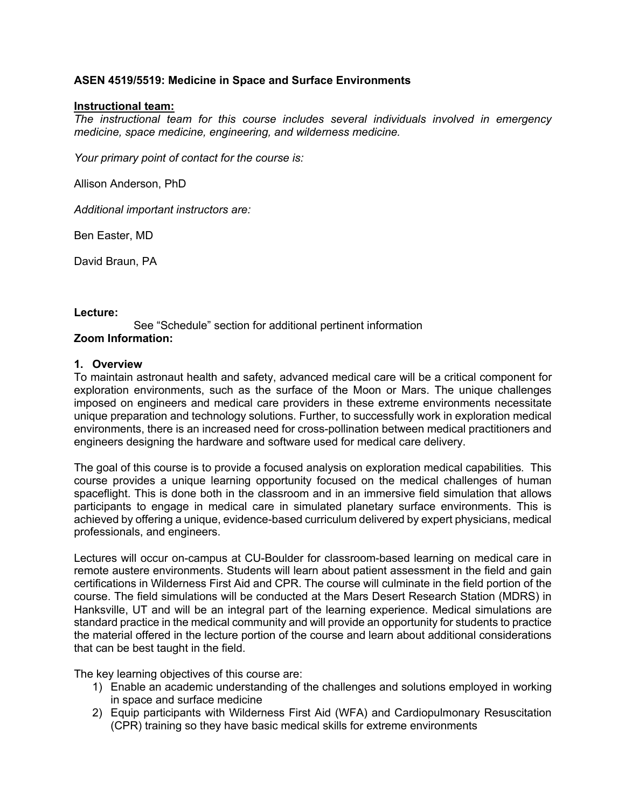# **ASEN 4519/5519: Medicine in Space and Surface Environments**

#### **Instructional team:**

*The instructional team for this course includes several individuals involved in emergency medicine, space medicine, engineering, and wilderness medicine.* 

*Your primary point of contact for the course is:* 

Allison Anderson, PhD

*Additional important instructors are:*

Ben Easter, MD

David Braun, PA

#### **Lecture:**

See "Schedule" section for additional pertinent information **Zoom Information:** 

#### **1. Overview**

To maintain astronaut health and safety, advanced medical care will be a critical component for exploration environments, such as the surface of the Moon or Mars. The unique challenges imposed on engineers and medical care providers in these extreme environments necessitate unique preparation and technology solutions. Further, to successfully work in exploration medical environments, there is an increased need for cross-pollination between medical practitioners and engineers designing the hardware and software used for medical care delivery.

The goal of this course is to provide a focused analysis on exploration medical capabilities. This course provides a unique learning opportunity focused on the medical challenges of human spaceflight. This is done both in the classroom and in an immersive field simulation that allows participants to engage in medical care in simulated planetary surface environments. This is achieved by offering a unique, evidence-based curriculum delivered by expert physicians, medical professionals, and engineers.

Lectures will occur on-campus at CU-Boulder for classroom-based learning on medical care in remote austere environments. Students will learn about patient assessment in the field and gain certifications in Wilderness First Aid and CPR. The course will culminate in the field portion of the course. The field simulations will be conducted at the Mars Desert Research Station (MDRS) in Hanksville, UT and will be an integral part of the learning experience. Medical simulations are standard practice in the medical community and will provide an opportunity for students to practice the material offered in the lecture portion of the course and learn about additional considerations that can be best taught in the field.

The key learning objectives of this course are:

- 1) Enable an academic understanding of the challenges and solutions employed in working in space and surface medicine
- 2) Equip participants with Wilderness First Aid (WFA) and Cardiopulmonary Resuscitation (CPR) training so they have basic medical skills for extreme environments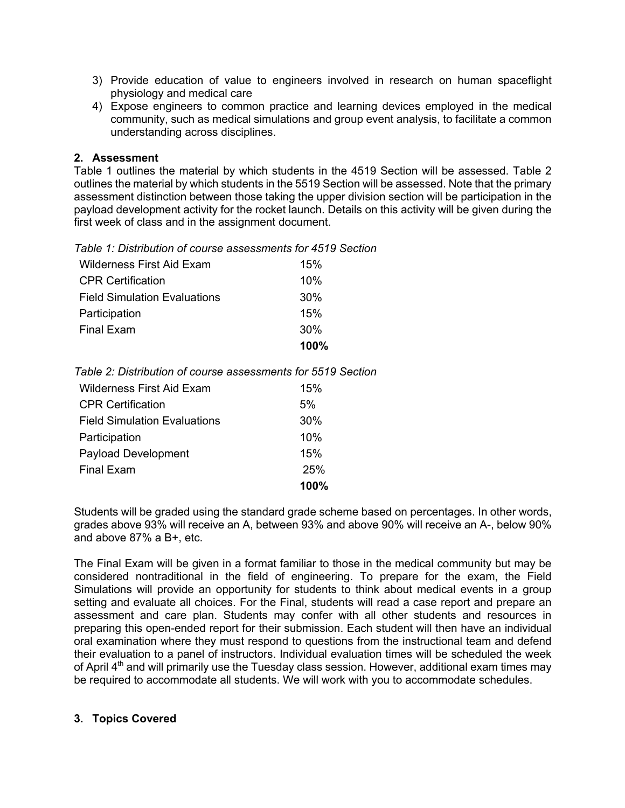- 3) Provide education of value to engineers involved in research on human spaceflight physiology and medical care
- 4) Expose engineers to common practice and learning devices employed in the medical community, such as medical simulations and group event analysis, to facilitate a common understanding across disciplines.

# **2. Assessment**

Table 1 outlines the material by which students in the 4519 Section will be assessed. Table 2 outlines the material by which students in the 5519 Section will be assessed. Note that the primary assessment distinction between those taking the upper division section will be participation in the payload development activity for the rocket launch. Details on this activity will be given during the first week of class and in the assignment document.

| Table 1: Distribution of course assessments for 4519 Section |
|--------------------------------------------------------------|
|--------------------------------------------------------------|

|                                     | 100% |
|-------------------------------------|------|
| Final Exam                          | 30%  |
| Participation                       | 15%  |
| <b>Field Simulation Evaluations</b> | 30%  |
| <b>CPR Certification</b>            | 10%  |
| <b>Wilderness First Aid Exam</b>    | 15%  |
|                                     |      |

| <b>Wilderness First Aid Exam</b>    | 15%  |
|-------------------------------------|------|
| <b>CPR Certification</b>            | 5%   |
| <b>Field Simulation Evaluations</b> | 30%  |
| Participation                       | 10%  |
| <b>Payload Development</b>          | 15%  |
| <b>Final Exam</b>                   | 25%  |
|                                     | 100% |

Students will be graded using the standard grade scheme based on percentages. In other words, grades above 93% will receive an A, between 93% and above 90% will receive an A-, below 90% and above 87% a B+, etc.

The Final Exam will be given in a format familiar to those in the medical community but may be considered nontraditional in the field of engineering. To prepare for the exam, the Field Simulations will provide an opportunity for students to think about medical events in a group setting and evaluate all choices. For the Final, students will read a case report and prepare an assessment and care plan. Students may confer with all other students and resources in preparing this open-ended report for their submission. Each student will then have an individual oral examination where they must respond to questions from the instructional team and defend their evaluation to a panel of instructors. Individual evaluation times will be scheduled the week of April  $4<sup>th</sup>$  and will primarily use the Tuesday class session. However, additional exam times may be required to accommodate all students. We will work with you to accommodate schedules.

# **3. Topics Covered**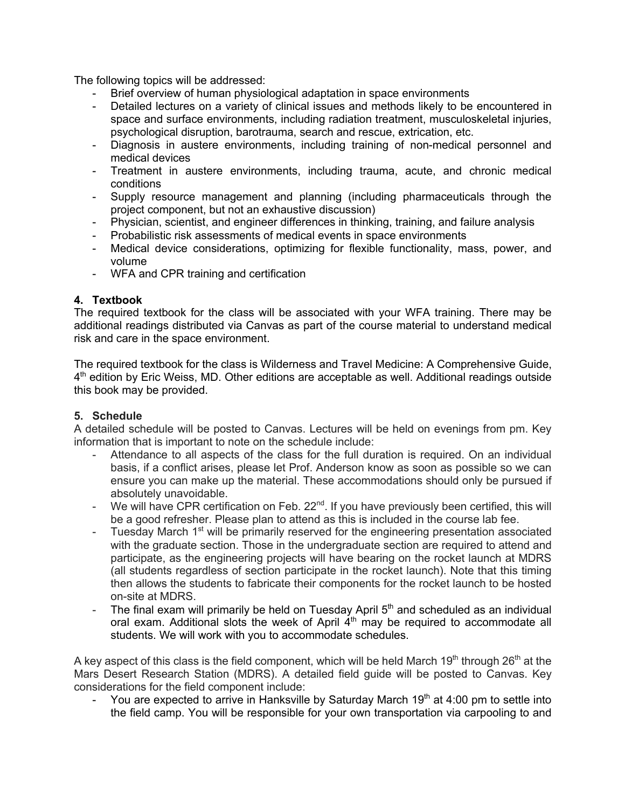The following topics will be addressed:

- Brief overview of human physiological adaptation in space environments
- Detailed lectures on a variety of clinical issues and methods likely to be encountered in space and surface environments, including radiation treatment, musculoskeletal injuries, psychological disruption, barotrauma, search and rescue, extrication, etc.
- Diagnosis in austere environments, including training of non-medical personnel and medical devices
- Treatment in austere environments, including trauma, acute, and chronic medical conditions
- Supply resource management and planning (including pharmaceuticals through the project component, but not an exhaustive discussion)
- Physician, scientist, and engineer differences in thinking, training, and failure analysis
- Probabilistic risk assessments of medical events in space environments
- Medical device considerations, optimizing for flexible functionality, mass, power, and volume
- WFA and CPR training and certification

# **4. Textbook**

The required textbook for the class will be associated with your WFA training. There may be additional readings distributed via Canvas as part of the course material to understand medical risk and care in the space environment.

The required textbook for the class is Wilderness and Travel Medicine: A Comprehensive Guide,  $4<sup>th</sup>$  edition by Eric Weiss, MD. Other editions are acceptable as well. Additional readings outside this book may be provided.

# **5. Schedule**

A detailed schedule will be posted to Canvas. Lectures will be held on evenings from pm. Key information that is important to note on the schedule include:

- Attendance to all aspects of the class for the full duration is required. On an individual basis, if a conflict arises, please let Prof. Anderson know as soon as possible so we can ensure you can make up the material. These accommodations should only be pursued if absolutely unavoidable.
- We will have CPR certification on Feb. 22<sup>nd</sup>. If you have previously been certified, this will be a good refresher. Please plan to attend as this is included in the course lab fee.
- Tuesday March 1<sup>st</sup> will be primarily reserved for the engineering presentation associated with the graduate section. Those in the undergraduate section are required to attend and participate, as the engineering projects will have bearing on the rocket launch at MDRS (all students regardless of section participate in the rocket launch). Note that this timing then allows the students to fabricate their components for the rocket launch to be hosted on-site at MDRS.
- The final exam will primarily be held on Tuesday April  $5<sup>th</sup>$  and scheduled as an individual oral exam. Additional slots the week of April  $4<sup>th</sup>$  may be required to accommodate all students. We will work with you to accommodate schedules.

A key aspect of this class is the field component, which will be held March 19<sup>th</sup> through 26<sup>th</sup> at the Mars Desert Research Station (MDRS). A detailed field guide will be posted to Canvas. Key considerations for the field component include:

- You are expected to arrive in Hanksville by Saturday March  $19<sup>th</sup>$  at 4:00 pm to settle into the field camp. You will be responsible for your own transportation via carpooling to and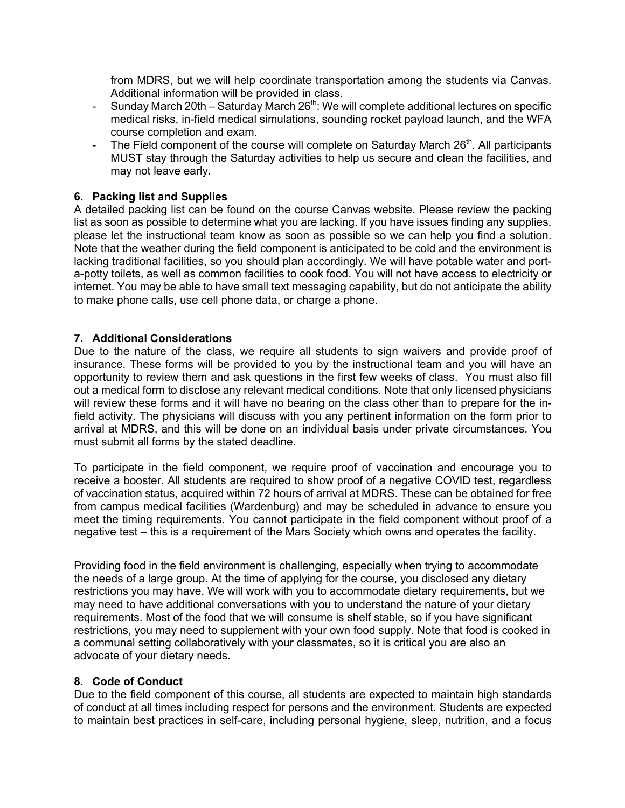from MDRS, but we will help coordinate transportation among the students via Canvas. Additional information will be provided in class.

- Sunday March 20th Saturday March  $26<sup>th</sup>$ : We will complete additional lectures on specific medical risks, in-field medical simulations, sounding rocket payload launch, and the WFA course completion and exam.
- The Field component of the course will complete on Saturday March  $26<sup>th</sup>$ . All participants MUST stay through the Saturday activities to help us secure and clean the facilities, and may not leave early.

### **6. Packing list and Supplies**

A detailed packing list can be found on the course Canvas website. Please review the packing list as soon as possible to determine what you are lacking. If you have issues finding any supplies, please let the instructional team know as soon as possible so we can help you find a solution. Note that the weather during the field component is anticipated to be cold and the environment is lacking traditional facilities, so you should plan accordingly. We will have potable water and porta-potty toilets, as well as common facilities to cook food. You will not have access to electricity or internet. You may be able to have small text messaging capability, but do not anticipate the ability to make phone calls, use cell phone data, or charge a phone.

### **7. Additional Considerations**

Due to the nature of the class, we require all students to sign waivers and provide proof of insurance. These forms will be provided to you by the instructional team and you will have an opportunity to review them and ask questions in the first few weeks of class. You must also fill out a medical form to disclose any relevant medical conditions. Note that only licensed physicians will review these forms and it will have no bearing on the class other than to prepare for the infield activity. The physicians will discuss with you any pertinent information on the form prior to arrival at MDRS, and this will be done on an individual basis under private circumstances. You must submit all forms by the stated deadline.

To participate in the field component, we require proof of vaccination and encourage you to receive a booster. All students are required to show proof of a negative COVID test, regardless of vaccination status, acquired within 72 hours of arrival at MDRS. These can be obtained for free from campus medical facilities (Wardenburg) and may be scheduled in advance to ensure you meet the timing requirements. You cannot participate in the field component without proof of a negative test – this is a requirement of the Mars Society which owns and operates the facility.

Providing food in the field environment is challenging, especially when trying to accommodate the needs of a large group. At the time of applying for the course, you disclosed any dietary restrictions you may have. We will work with you to accommodate dietary requirements, but we may need to have additional conversations with you to understand the nature of your dietary requirements. Most of the food that we will consume is shelf stable, so if you have significant restrictions, you may need to supplement with your own food supply. Note that food is cooked in a communal setting collaboratively with your classmates, so it is critical you are also an advocate of your dietary needs.

#### **8. Code of Conduct**

Due to the field component of this course, all students are expected to maintain high standards of conduct at all times including respect for persons and the environment. Students are expected to maintain best practices in self-care, including personal hygiene, sleep, nutrition, and a focus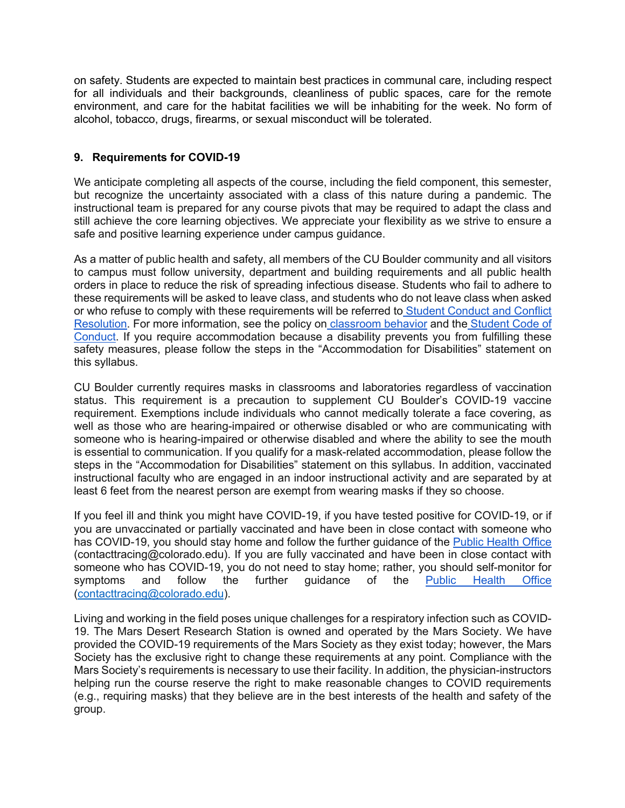on safety. Students are expected to maintain best practices in communal care, including respect for all individuals and their backgrounds, cleanliness of public spaces, care for the remote environment, and care for the habitat facilities we will be inhabiting for the week. No form of alcohol, tobacco, drugs, firearms, or sexual misconduct will be tolerated.

# **9. Requirements for COVID-19**

We anticipate completing all aspects of the course, including the field component, this semester, but recognize the uncertainty associated with a class of this nature during a pandemic. The instructional team is prepared for any course pivots that may be required to adapt the class and still achieve the core learning objectives. We appreciate your flexibility as we strive to ensure a safe and positive learning experience under campus guidance.

As a matter of public health and safety, all members of the CU Boulder community and all visitors to campus must follow university, department and building requirements and all public health orders in place to reduce the risk of spreading infectious disease. Students who fail to adhere to these requirements will be asked to leave class, and students who do not leave class when asked or who refuse to comply with these requirements will be referred to Student Conduct and Conflict Resolution. For more information, see the policy on classroom behavior and the Student Code of Conduct. If you require accommodation because a disability prevents you from fulfilling these safety measures, please follow the steps in the "Accommodation for Disabilities" statement on this syllabus.

CU Boulder currently requires masks in classrooms and laboratories regardless of vaccination status. This requirement is a precaution to supplement CU Boulder's COVID-19 vaccine requirement. Exemptions include individuals who cannot medically tolerate a face covering, as well as those who are hearing-impaired or otherwise disabled or who are communicating with someone who is hearing-impaired or otherwise disabled and where the ability to see the mouth is essential to communication. If you qualify for a mask-related accommodation, please follow the steps in the "Accommodation for Disabilities" statement on this syllabus. In addition, vaccinated instructional faculty who are engaged in an indoor instructional activity and are separated by at least 6 feet from the nearest person are exempt from wearing masks if they so choose.

If you feel ill and think you might have COVID-19, if you have tested positive for COVID-19, or if you are unvaccinated or partially vaccinated and have been in close contact with someone who has COVID-19, you should stay home and follow the further guidance of the Public Health Office (contacttracing@colorado.edu). If you are fully vaccinated and have been in close contact with someone who has COVID-19, you do not need to stay home; rather, you should self-monitor for symptoms and follow the further guidance of the Public Health Office (contacttracing@colorado.edu).

Living and working in the field poses unique challenges for a respiratory infection such as COVID-19. The Mars Desert Research Station is owned and operated by the Mars Society. We have provided the COVID-19 requirements of the Mars Society as they exist today; however, the Mars Society has the exclusive right to change these requirements at any point. Compliance with the Mars Society's requirements is necessary to use their facility. In addition, the physician-instructors helping run the course reserve the right to make reasonable changes to COVID requirements (e.g., requiring masks) that they believe are in the best interests of the health and safety of the group.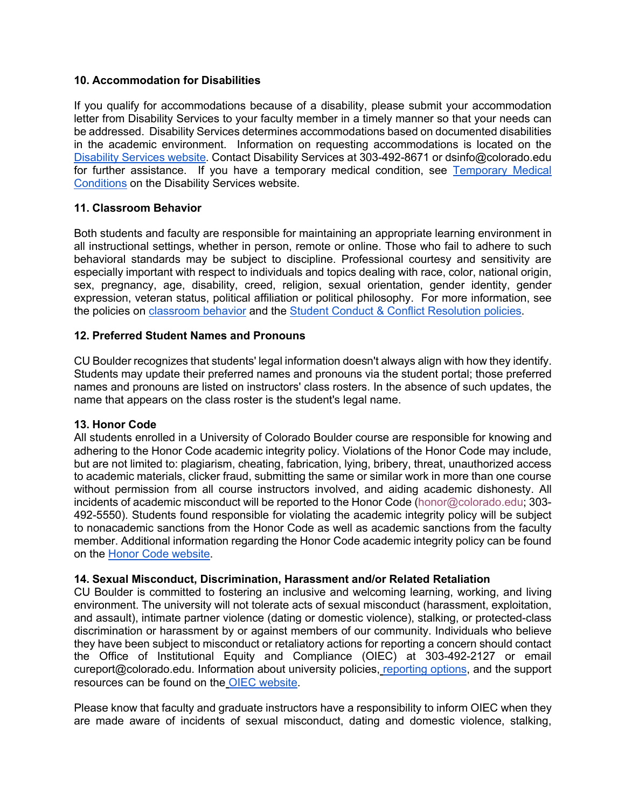### **10. Accommodation for Disabilities**

If you qualify for accommodations because of a disability, please submit your accommodation letter from Disability Services to your faculty member in a timely manner so that your needs can be addressed. Disability Services determines accommodations based on documented disabilities in the academic environment. Information on requesting accommodations is located on the Disability Services website. Contact Disability Services at 303-492-8671 or dsinfo@colorado.edu for further assistance. If you have a temporary medical condition, see Temporary Medical Conditions on the Disability Services website.

# **11. Classroom Behavior**

Both students and faculty are responsible for maintaining an appropriate learning environment in all instructional settings, whether in person, remote or online. Those who fail to adhere to such behavioral standards may be subject to discipline. Professional courtesy and sensitivity are especially important with respect to individuals and topics dealing with race, color, national origin, sex, pregnancy, age, disability, creed, religion, sexual orientation, gender identity, gender expression, veteran status, political affiliation or political philosophy. For more information, see the policies on classroom behavior and the Student Conduct & Conflict Resolution policies.

# **12. Preferred Student Names and Pronouns**

CU Boulder recognizes that students' legal information doesn't always align with how they identify. Students may update their preferred names and pronouns via the student portal; those preferred names and pronouns are listed on instructors' class rosters. In the absence of such updates, the name that appears on the class roster is the student's legal name.

# **13. Honor Code**

All students enrolled in a University of Colorado Boulder course are responsible for knowing and adhering to the Honor Code academic integrity policy. Violations of the Honor Code may include, but are not limited to: plagiarism, cheating, fabrication, lying, bribery, threat, unauthorized access to academic materials, clicker fraud, submitting the same or similar work in more than one course without permission from all course instructors involved, and aiding academic dishonesty. All incidents of academic misconduct will be reported to the Honor Code (honor@colorado.edu; 303- 492-5550). Students found responsible for violating the academic integrity policy will be subject to nonacademic sanctions from the Honor Code as well as academic sanctions from the faculty member. Additional information regarding the Honor Code academic integrity policy can be found on the Honor Code website.

# **14. Sexual Misconduct, Discrimination, Harassment and/or Related Retaliation**

CU Boulder is committed to fostering an inclusive and welcoming learning, working, and living environment. The university will not tolerate acts of sexual misconduct (harassment, exploitation, and assault), intimate partner violence (dating or domestic violence), stalking, or protected-class discrimination or harassment by or against members of our community. Individuals who believe they have been subject to misconduct or retaliatory actions for reporting a concern should contact the Office of Institutional Equity and Compliance (OIEC) at 303-492-2127 or email cureport@colorado.edu. Information about university policies, reporting options, and the support resources can be found on the OIEC website.

Please know that faculty and graduate instructors have a responsibility to inform OIEC when they are made aware of incidents of sexual misconduct, dating and domestic violence, stalking,